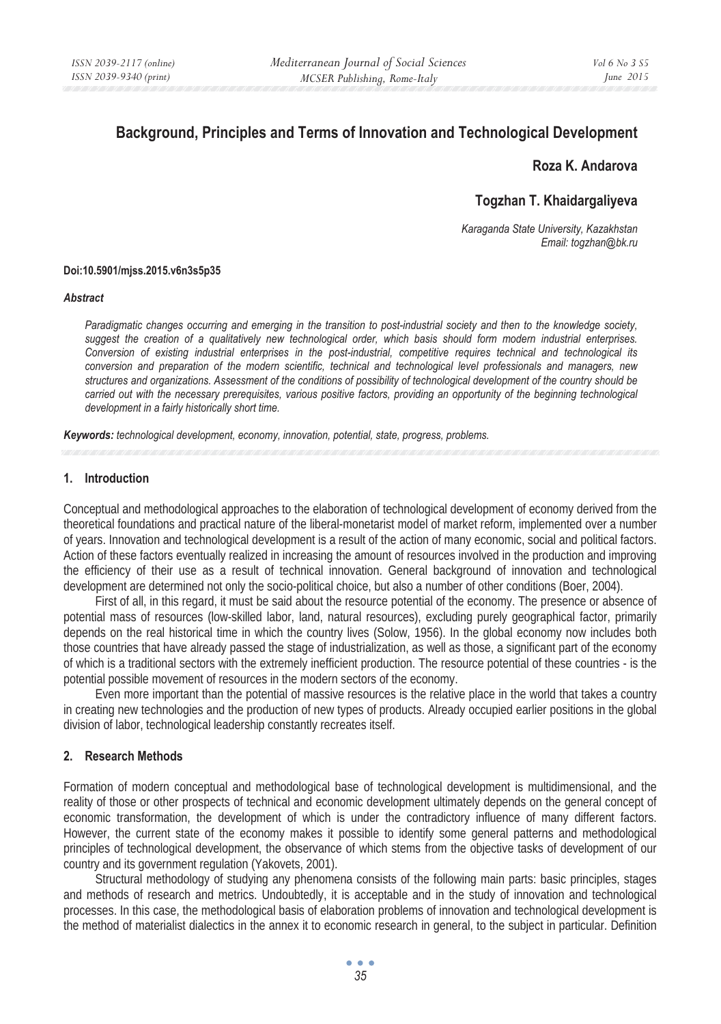# **Background, Principles and Terms of Innovation and Technological Development**

## **Roza K. Andarova**

## **Togzhan T. Khaidargaliyeva**

*Karaganda State University, Kazakhstan Email: togzhan@bk.ru* 

#### **Doi:10.5901/mjss.2015.v6n3s5p35**

#### *Abstract*

*Paradigmatic changes occurring and emerging in the transition to post-industrial society and then to the knowledge society, suggest the creation of a qualitatively new technological order, which basis should form modern industrial enterprises. Conversion of existing industrial enterprises in the post-industrial, competitive requires technical and technological its conversion and preparation of the modern scientific, technical and technological level professionals and managers, new structures and organizations. Assessment of the conditions of possibility of technological development of the country should be carried out with the necessary prerequisites, various positive factors, providing an opportunity of the beginning technological development in a fairly historically short time.* 

*Keywords: technological development, economy, innovation, potential, state, progress, problems.*

#### **1. Introduction**

Conceptual and methodological approaches to the elaboration of technological development of economy derived from the theoretical foundations and practical nature of the liberal-monetarist model of market reform, implemented over a number of years. Innovation and technological development is a result of the action of many economic, social and political factors. Action of these factors eventually realized in increasing the amount of resources involved in the production and improving the efficiency of their use as a result of technical innovation. General background of innovation and technological development are determined not only the socio-political choice, but also a number of other conditions (Boer, 2004).

First of all, in this regard, it must be said about the resource potential of the economy. The presence or absence of potential mass of resources (low-skilled labor, land, natural resources), excluding purely geographical factor, primarily depends on the real historical time in which the country lives (Solow, 1956). In the global economy now includes both those countries that have already passed the stage of industrialization, as well as those, a significant part of the economy of which is a traditional sectors with the extremely inefficient production. The resource potential of these countries - is the potential possible movement of resources in the modern sectors of the economy.

Even more important than the potential of massive resources is the relative place in the world that takes a country in creating new technologies and the production of new types of products. Already occupied earlier positions in the global division of labor, technological leadership constantly recreates itself.

### **2. Research Methods**

Formation of modern conceptual and methodological base of technological development is multidimensional, and the reality of those or other prospects of technical and economic development ultimately depends on the general concept of economic transformation, the development of which is under the contradictory influence of many different factors. However, the current state of the economy makes it possible to identify some general patterns and methodological principles of technological development, the observance of which stems from the objective tasks of development of our country and its government regulation (Yakovets, 2001).

Structural methodology of studying any phenomena consists of the following main parts: basic principles, stages and methods of research and metrics. Undoubtedly, it is acceptable and in the study of innovation and technological processes. In this case, the methodological basis of elaboration problems of innovation and technological development is the method of materialist dialectics in the annex it to economic research in general, to the subject in particular. Definition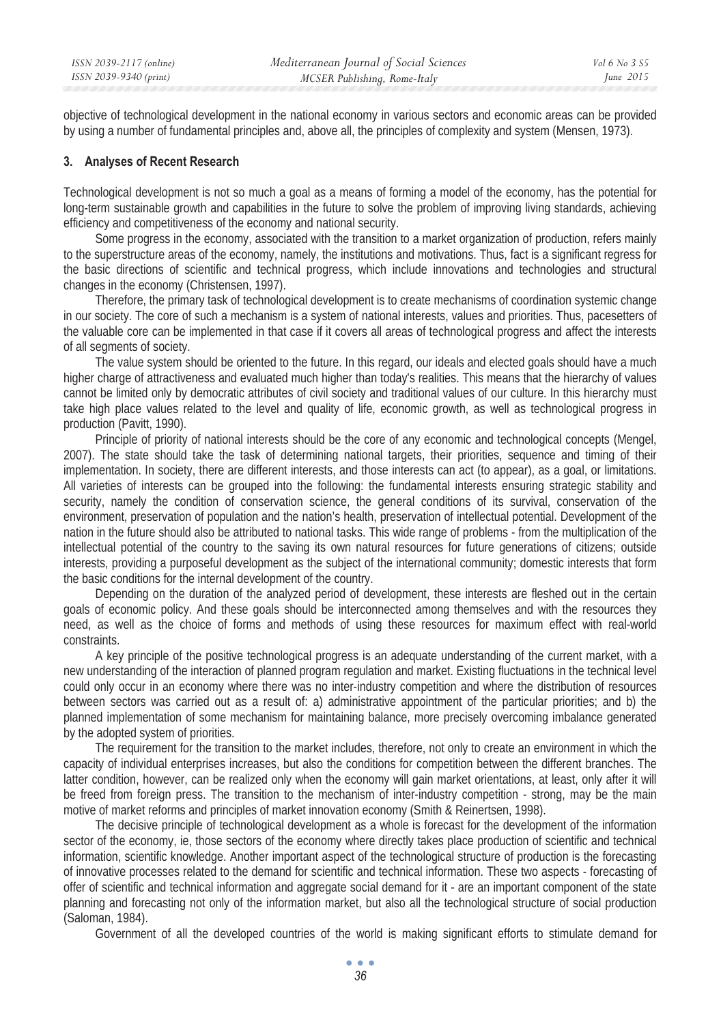objective of technological development in the national economy in various sectors and economic areas can be provided by using a number of fundamental principles and, above all, the principles of complexity and system (Mensen, 1973).

#### **3. Analyses of Recent Research**

Technological development is not so much a goal as a means of forming a model of the economy, has the potential for long-term sustainable growth and capabilities in the future to solve the problem of improving living standards, achieving efficiency and competitiveness of the economy and national security.

Some progress in the economy, associated with the transition to a market organization of production, refers mainly to the superstructure areas of the economy, namely, the institutions and motivations. Thus, fact is a significant regress for the basic directions of scientific and technical progress, which include innovations and technologies and structural changes in the economy (Christensen, 1997).

Therefore, the primary task of technological development is to create mechanisms of coordination systemic change in our society. The core of such a mechanism is a system of national interests, values and priorities. Thus, pacesetters of the valuable core can be implemented in that case if it covers all areas of technological progress and affect the interests of all segments of society.

The value system should be oriented to the future. In this regard, our ideals and elected goals should have a much higher charge of attractiveness and evaluated much higher than today's realities. This means that the hierarchy of values cannot be limited only by democratic attributes of civil society and traditional values of our culture. In this hierarchy must take high place values related to the level and quality of life, economic growth, as well as technological progress in production (Pavitt, 1990).

Principle of priority of national interests should be the core of any economic and technological concepts (Mengel, 2007). The state should take the task of determining national targets, their priorities, sequence and timing of their implementation. In society, there are different interests, and those interests can act (to appear), as a goal, or limitations. All varieties of interests can be grouped into the following: the fundamental interests ensuring strategic stability and security, namely the condition of conservation science, the general conditions of its survival, conservation of the environment, preservation of population and the nation's health, preservation of intellectual potential. Development of the nation in the future should also be attributed to national tasks. This wide range of problems - from the multiplication of the intellectual potential of the country to the saving its own natural resources for future generations of citizens; outside interests, providing a purposeful development as the subject of the international community; domestic interests that form the basic conditions for the internal development of the country.

Depending on the duration of the analyzed period of development, these interests are fleshed out in the certain goals of economic policy. And these goals should be interconnected among themselves and with the resources they need, as well as the choice of forms and methods of using these resources for maximum effect with real-world constraints.

A key principle of the positive technological progress is an adequate understanding of the current market, with a new understanding of the interaction of planned program regulation and market. Existing fluctuations in the technical level could only occur in an economy where there was no inter-industry competition and where the distribution of resources between sectors was carried out as a result of: a) administrative appointment of the particular priorities; and b) the planned implementation of some mechanism for maintaining balance, more precisely overcoming imbalance generated by the adopted system of priorities.

The requirement for the transition to the market includes, therefore, not only to create an environment in which the capacity of individual enterprises increases, but also the conditions for competition between the different branches. The latter condition, however, can be realized only when the economy will gain market orientations, at least, only after it will be freed from foreign press. The transition to the mechanism of inter-industry competition - strong, may be the main motive of market reforms and principles of market innovation economy (Smith & Reinertsen, 1998).

The decisive principle of technological development as a whole is forecast for the development of the information sector of the economy, ie, those sectors of the economy where directly takes place production of scientific and technical information, scientific knowledge. Another important aspect of the technological structure of production is the forecasting of innovative processes related to the demand for scientific and technical information. These two aspects - forecasting of offer of scientific and technical information and aggregate social demand for it - are an important component of the state planning and forecasting not only of the information market, but also all the technological structure of social production (Saloman, 1984).

Government of all the developed countries of the world is making significant efforts to stimulate demand for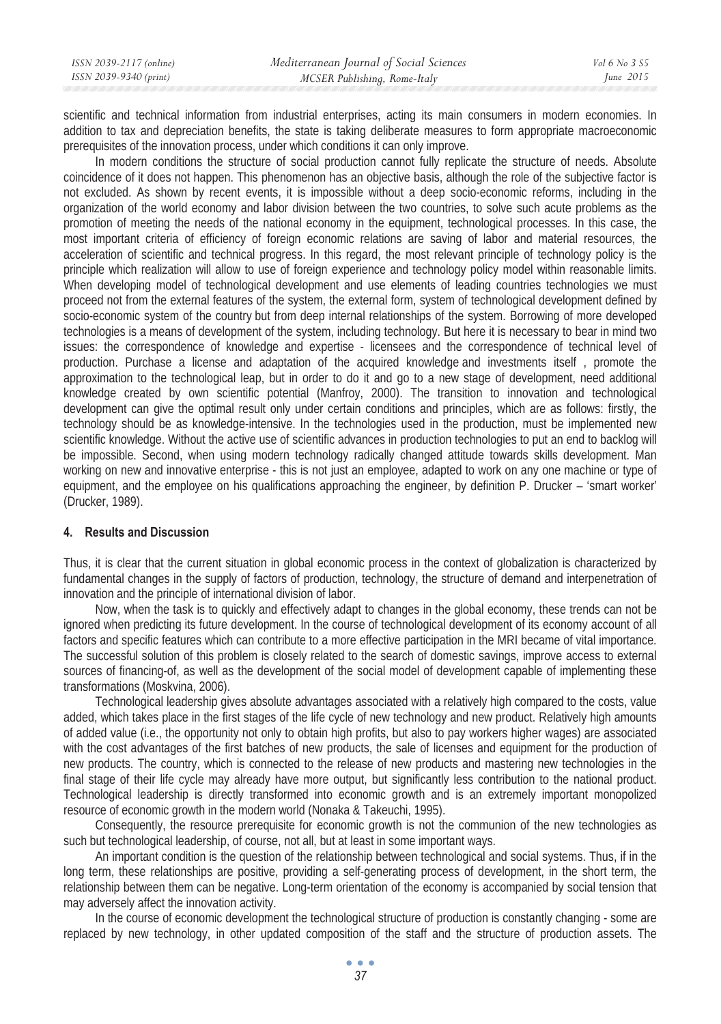| ISSN 2039-2117 (online) | Mediterranean Journal of Social Sciences | Vol 6 No 3 S5 |
|-------------------------|------------------------------------------|---------------|
| ISSN 2039-9340 (print)  | MCSER Publishing, Rome-Italy             | June $2015$   |
|                         |                                          |               |

scientific and technical information from industrial enterprises, acting its main consumers in modern economies. In addition to tax and depreciation benefits, the state is taking deliberate measures to form appropriate macroeconomic prerequisites of the innovation process, under which conditions it can only improve.

In modern conditions the structure of social production cannot fully replicate the structure of needs. Absolute coincidence of it does not happen. This phenomenon has an objective basis, although the role of the subjective factor is not excluded. As shown by recent events, it is impossible without a deep socio-economic reforms, including in the organization of the world economy and labor division between the two countries, to solve such acute problems as the promotion of meeting the needs of the national economy in the equipment, technological processes. In this case, the most important criteria of efficiency of foreign economic relations are saving of labor and material resources, the acceleration of scientific and technical progress. In this regard, the most relevant principle of technology policy is the principle which realization will allow to use of foreign experience and technology policy model within reasonable limits. When developing model of technological development and use elements of leading countries technologies we must proceed not from the external features of the system, the external form, system of technological development defined by socio-economic system of the country but from deep internal relationships of the system. Borrowing of more developed technologies is a means of development of the system, including technology. But here it is necessary to bear in mind two issues: the correspondence of knowledge and expertise - licensees and the correspondence of technical level of production. Purchase a license and adaptation of the acquired knowledge and investments itself , promote the approximation to the technological leap, but in order to do it and go to a new stage of development, need additional knowledge created by own scientific potential (Manfroy, 2000). The transition to innovation and technological development can give the optimal result only under certain conditions and principles, which are as follows: firstly, the technology should be as knowledge-intensive. In the technologies used in the production, must be implemented new scientific knowledge. Without the active use of scientific advances in production technologies to put an end to backlog will be impossible. Second, when using modern technology radically changed attitude towards skills development. Man working on new and innovative enterprise - this is not just an employee, adapted to work on any one machine or type of equipment, and the employee on his qualifications approaching the engineer, by definition P. Drucker – 'smart worker' (Drucker, 1989).

### **4. Results and Discussion**

Thus, it is clear that the current situation in global economic process in the context of globalization is characterized by fundamental changes in the supply of factors of production, technology, the structure of demand and interpenetration of innovation and the principle of international division of labor.

Now, when the task is to quickly and effectively adapt to changes in the global economy, these trends can not be ignored when predicting its future development. In the course of technological development of its economy account of all factors and specific features which can contribute to a more effective participation in the MRI became of vital importance. The successful solution of this problem is closely related to the search of domestic savings, improve access to external sources of financing-of, as well as the development of the social model of development capable of implementing these transformations (Moskvina, 2006).

Technological leadership gives absolute advantages associated with a relatively high compared to the costs, value added, which takes place in the first stages of the life cycle of new technology and new product. Relatively high amounts of added value (i.e., the opportunity not only to obtain high profits, but also to pay workers higher wages) are associated with the cost advantages of the first batches of new products, the sale of licenses and equipment for the production of new products. The country, which is connected to the release of new products and mastering new technologies in the final stage of their life cycle may already have more output, but significantly less contribution to the national product. Technological leadership is directly transformed into economic growth and is an extremely important monopolized resource of economic growth in the modern world (Nonaka & Takeuchi, 1995).

Consequently, the resource prerequisite for economic growth is not the communion of the new technologies as such but technological leadership, of course, not all, but at least in some important ways.

An important condition is the question of the relationship between technological and social systems. Thus, if in the long term, these relationships are positive, providing a self-generating process of development, in the short term, the relationship between them can be negative. Long-term orientation of the economy is accompanied by social tension that may adversely affect the innovation activity.

In the course of economic development the technological structure of production is constantly changing - some are replaced by new technology, in other updated composition of the staff and the structure of production assets. The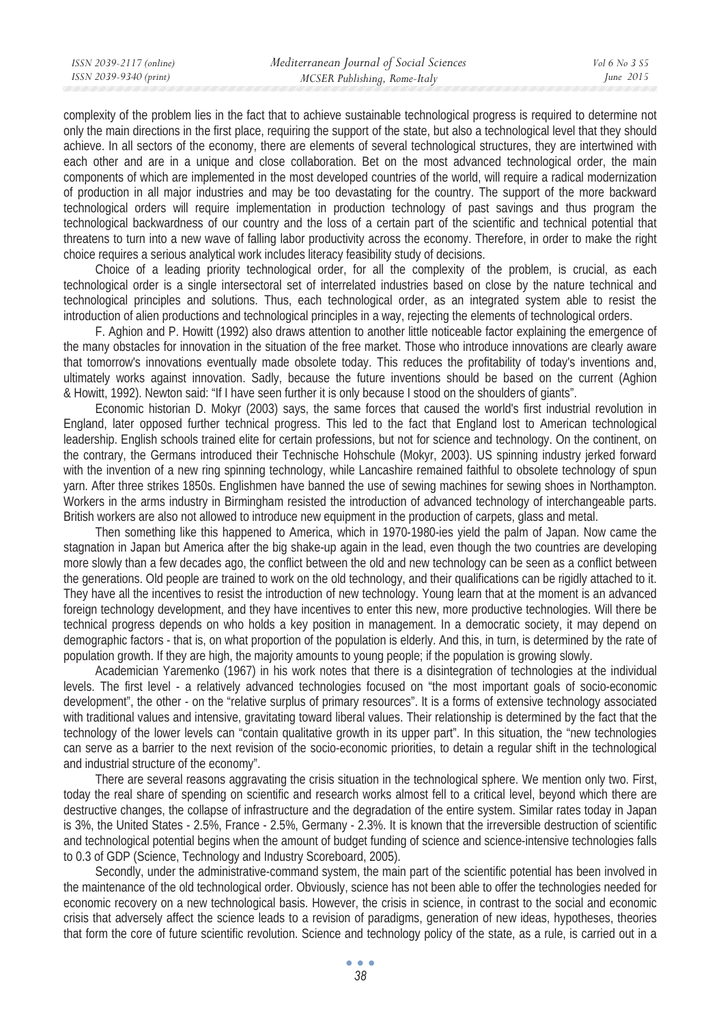complexity of the problem lies in the fact that to achieve sustainable technological progress is required to determine not only the main directions in the first place, requiring the support of the state, but also a technological level that they should achieve. In all sectors of the economy, there are elements of several technological structures, they are intertwined with each other and are in a unique and close collaboration. Bet on the most advanced technological order, the main components of which are implemented in the most developed countries of the world, will require a radical modernization of production in all major industries and may be too devastating for the country. The support of the more backward technological orders will require implementation in production technology of past savings and thus program the technological backwardness of our country and the loss of a certain part of the scientific and technical potential that threatens to turn into a new wave of falling labor productivity across the economy. Therefore, in order to make the right choice requires a serious analytical work includes literacy feasibility study of decisions.

Choice of a leading priority technological order, for all the complexity of the problem, is crucial, as each technological order is a single intersectoral set of interrelated industries based on close by the nature technical and technological principles and solutions. Thus, each technological order, as an integrated system able to resist the introduction of alien productions and technological principles in a way, rejecting the elements of technological orders.

F. Aghion and P. Howitt (1992) also draws attention to another little noticeable factor explaining the emergence of the many obstacles for innovation in the situation of the free market. Those who introduce innovations are clearly aware that tomorrow's innovations eventually made obsolete today. This reduces the profitability of today's inventions and, ultimately works against innovation. Sadly, because the future inventions should be based on the current (Aghion & Howitt, 1992). Newton said: "If I have seen further it is only because I stood on the shoulders of giants".

Economic historian D. Mokyr (2003) says, the same forces that caused the world's first industrial revolution in England, later opposed further technical progress. This led to the fact that England lost to American technological leadership. English schools trained elite for certain professions, but not for science and technology. On the continent, on the contrary, the Germans introduced their Technische Hohschule (Mokyr, 2003). US spinning industry jerked forward with the invention of a new ring spinning technology, while Lancashire remained faithful to obsolete technology of spun yarn. After three strikes 1850s. Englishmen have banned the use of sewing machines for sewing shoes in Northampton. Workers in the arms industry in Birmingham resisted the introduction of advanced technology of interchangeable parts. British workers are also not allowed to introduce new equipment in the production of carpets, glass and metal.

Then something like this happened to America, which in 1970-1980-ies yield the palm of Japan. Now came the stagnation in Japan but America after the big shake-up again in the lead, even though the two countries are developing more slowly than a few decades ago, the conflict between the old and new technology can be seen as a conflict between the generations. Old people are trained to work on the old technology, and their qualifications can be rigidly attached to it. They have all the incentives to resist the introduction of new technology. Young learn that at the moment is an advanced foreign technology development, and they have incentives to enter this new, more productive technologies. Will there be technical progress depends on who holds a key position in management. In a democratic society, it may depend on demographic factors - that is, on what proportion of the population is elderly. And this, in turn, is determined by the rate of population growth. If they are high, the majority amounts to young people; if the population is growing slowly.

Academician Yaremenko (1967) in his work notes that there is a disintegration of technologies at the individual levels. The first level - a relatively advanced technologies focused on "the most important goals of socio-economic development", the other - on the "relative surplus of primary resources". It is a forms of extensive technology associated with traditional values and intensive, gravitating toward liberal values. Their relationship is determined by the fact that the technology of the lower levels can "contain qualitative growth in its upper part". In this situation, the "new technologies can serve as a barrier to the next revision of the socio-economic priorities, to detain a regular shift in the technological and industrial structure of the economy".

There are several reasons aggravating the crisis situation in the technological sphere. We mention only two. First, today the real share of spending on scientific and research works almost fell to a critical level, beyond which there are destructive changes, the collapse of infrastructure and the degradation of the entire system. Similar rates today in Japan is 3%, the United States - 2.5%, France - 2.5%, Germany - 2.3%. It is known that the irreversible destruction of scientific and technological potential begins when the amount of budget funding of science and science-intensive technologies falls to 0.3 of GDP (Science, Technology and Industry Scoreboard, 2005).

Secondly, under the administrative-command system, the main part of the scientific potential has been involved in the maintenance of the old technological order. Obviously, science has not been able to offer the technologies needed for economic recovery on a new technological basis. However, the crisis in science, in contrast to the social and economic crisis that adversely affect the science leads to a revision of paradigms, generation of new ideas, hypotheses, theories that form the core of future scientific revolution. Science and technology policy of the state, as a rule, is carried out in a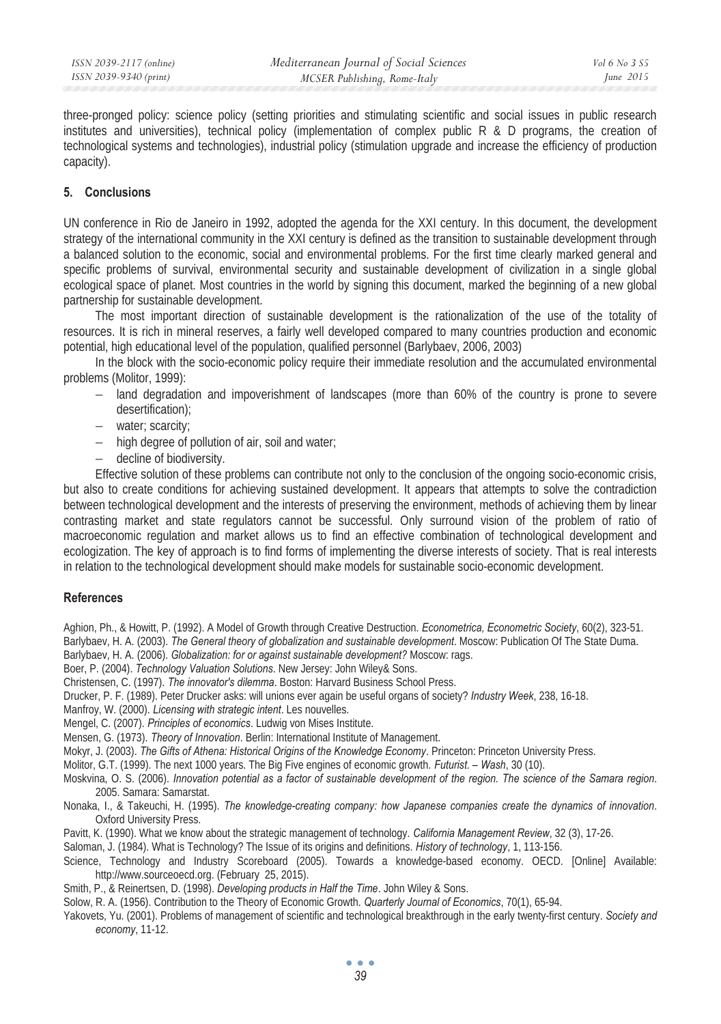three-pronged policy: science policy (setting priorities and stimulating scientific and social issues in public research institutes and universities), technical policy (implementation of complex public  $R \& D$  programs, the creation of technological systems and technologies), industrial policy (stimulation upgrade and increase the efficiency of production capacity).

### **5. Conclusions**

UN conference in Rio de Janeiro in 1992, adopted the agenda for the XXI century. In this document, the development strategy of the international community in the XXI century is defined as the transition to sustainable development through a balanced solution to the economic, social and environmental problems. For the first time clearly marked general and specific problems of survival, environmental security and sustainable development of civilization in a single global ecological space of planet. Most countries in the world by signing this document, marked the beginning of a new global partnership for sustainable development.

The most important direction of sustainable development is the rationalization of the use of the totality of resources. It is rich in mineral reserves, a fairly well developed compared to many countries production and economic potential, high educational level of the population, qualified personnel (Barlybaev, 2006, 2003)

In the block with the socio-economic policy require their immediate resolution and the accumulated environmental problems (Molitor, 1999):

- − land degradation and impoverishment of landscapes (more than 60% of the country is prone to severe desertification);
- − water; scarcity;
- − high degree of pollution of air, soil and water;
- − decline of biodiversity.

Effective solution of these problems can contribute not only to the conclusion of the ongoing socio-economic crisis, but also to create conditions for achieving sustained development. It appears that attempts to solve the contradiction between technological development and the interests of preserving the environment, methods of achieving them by linear contrasting market and state regulators cannot be successful. Only surround vision of the problem of ratio of macroeconomic regulation and market allows us to find an effective combination of technological development and ecologization. The key of approach is to find forms of implementing the diverse interests of society. That is real interests in relation to the technological development should make models for sustainable socio-economic development.

### **References**

Aghion, Ph., & Howitt, P. (1992). A Model of Growth through Creative Destruction. *Econometrica, Econometric Society*, 60(2), 323-51.

Barlybaev, H. A. (2003). *The General theory of globalization and sustainable development*. Moscow: Publication Of The State Duma.

Barlybaev, H. A. (2006). *Globalization: for or against sustainable development?* Moscow: rags.

Boer, P. (2004). *Technology Valuation Solutions*. New Jersey: John Wiley& Sons.

Christensen, C. (1997). *The innovator's dilemma*. Boston: Harvard Business School Press.

Drucker, P. F. (1989). Peter Drucker asks: will unions ever again be useful organs of society? *Industry Week*, 238, 16-18.

Manfroy, W. (2000). *Licensing with strategic intent*. Les nouvelles.

Mengel, C. (2007). *Principles of economics*. Ludwig von Mises Institute.

Mensen, G. (1973). *Theory of Innovation*. Berlin: International Institute of Management.

Mokyr, J. (2003). *The Gifts of Athena: Historical Origins of the Knowledge Economy*. Princeton: Princeton University Press.

Molitor, G.T. (1999). The next 1000 years. The Big Five engines of economic growth. *Futurist. – Wash*, 30 (10).

Moskvina, O. S. (2006). *Innovation potential as a factor of sustainable development of the region. The science of the Samara region*. 2005. Samara: Samarstat.

Nonaka, I., & Takeuchi, H. (1995). *The knowledge-creating company: how Japanese companies create the dynamics of innovation*. Oxford University Press.

Pavitt, K. (1990). What we know about the strategic management of technology. *California Management Review*, 32 (3), 17-26.

Saloman, J. (1984). What is Technology? The Issue of its origins and definitions. *History of technology*, 1, 113-156.

Science, Technology and Industry Scoreboard (2005). Towards a knowledge-based economy. OECD. [Online] Available: http://www.sourceoecd.org. (February 25, 2015).

Smith, P., & Reinertsen, D. (1998). *Developing products in Half the Time*. John Wiley & Sons.

Solow, R. A. (1956). Contribution to the Theory of Economic Growth. *Quarterly Journal of Economics*, 70(1), 65-94.

Yakovets, Yu. (2001). Problems of management of scientific and technological breakthrough in the early twenty-first century. *Society and economy*, 11-12.